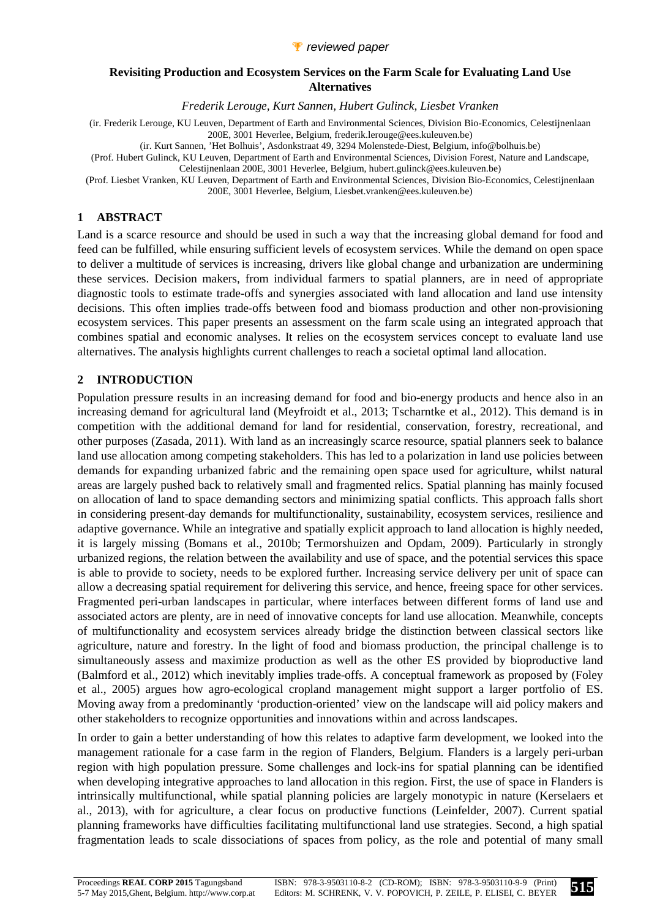

#### **Revisiting Production and Ecosystem Services on the Farm Scale for Evaluating Land Use Alternatives**

*Frederik Lerouge, Kurt Sannen, Hubert Gulinck, Liesbet Vranken* 

(ir. Frederik Lerouge, KU Leuven, Department of Earth and Environmental Sciences, Division Bio-Economics, Celestijnenlaan 200E, 3001 Heverlee, Belgium, frederik.lerouge@ees.kuleuven.be)

(ir. Kurt Sannen, 'Het Bolhuis', Asdonkstraat 49, 3294 Molenstede-Diest, Belgium, info@bolhuis.be)

(Prof. Hubert Gulinck, KU Leuven, Department of Earth and Environmental Sciences, Division Forest, Nature and Landscape, Celestijnenlaan 200E, 3001 Heverlee, Belgium, hubert.gulinck@ees.kuleuven.be)

(Prof. Liesbet Vranken, KU Leuven, Department of Earth and Environmental Sciences, Division Bio-Economics, Celestijnenlaan 200E, 3001 Heverlee, Belgium, Liesbet.vranken@ees.kuleuven.be)

## **1 ABSTRACT**

Land is a scarce resource and should be used in such a way that the increasing global demand for food and feed can be fulfilled, while ensuring sufficient levels of ecosystem services. While the demand on open space to deliver a multitude of services is increasing, drivers like global change and urbanization are undermining these services. Decision makers, from individual farmers to spatial planners, are in need of appropriate diagnostic tools to estimate trade-offs and synergies associated with land allocation and land use intensity decisions. This often implies trade-offs between food and biomass production and other non-provisioning ecosystem services. This paper presents an assessment on the farm scale using an integrated approach that combines spatial and economic analyses. It relies on the ecosystem services concept to evaluate land use alternatives. The analysis highlights current challenges to reach a societal optimal land allocation.

# **2 INTRODUCTION**

Population pressure results in an increasing demand for food and bio-energy products and hence also in an increasing demand for agricultural land (Meyfroidt et al., 2013; Tscharntke et al., 2012). This demand is in competition with the additional demand for land for residential, conservation, forestry, recreational, and other purposes (Zasada, 2011). With land as an increasingly scarce resource, spatial planners seek to balance land use allocation among competing stakeholders. This has led to a polarization in land use policies between demands for expanding urbanized fabric and the remaining open space used for agriculture, whilst natural areas are largely pushed back to relatively small and fragmented relics. Spatial planning has mainly focused on allocation of land to space demanding sectors and minimizing spatial conflicts. This approach falls short in considering present-day demands for multifunctionality, sustainability, ecosystem services, resilience and adaptive governance. While an integrative and spatially explicit approach to land allocation is highly needed, it is largely missing (Bomans et al., 2010b; Termorshuizen and Opdam, 2009). Particularly in strongly urbanized regions, the relation between the availability and use of space, and the potential services this space is able to provide to society, needs to be explored further. Increasing service delivery per unit of space can allow a decreasing spatial requirement for delivering this service, and hence, freeing space for other services. Fragmented peri-urban landscapes in particular, where interfaces between different forms of land use and associated actors are plenty, are in need of innovative concepts for land use allocation. Meanwhile, concepts of multifunctionality and ecosystem services already bridge the distinction between classical sectors like agriculture, nature and forestry. In the light of food and biomass production, the principal challenge is to simultaneously assess and maximize production as well as the other ES provided by bioproductive land (Balmford et al., 2012) which inevitably implies trade-offs. A conceptual framework as proposed by (Foley et al., 2005) argues how agro-ecological cropland management might support a larger portfolio of ES. Moving away from a predominantly 'production-oriented' view on the landscape will aid policy makers and other stakeholders to recognize opportunities and innovations within and across landscapes.

In order to gain a better understanding of how this relates to adaptive farm development, we looked into the management rationale for a case farm in the region of Flanders, Belgium. Flanders is a largely peri-urban region with high population pressure. Some challenges and lock-ins for spatial planning can be identified when developing integrative approaches to land allocation in this region. First, the use of space in Flanders is intrinsically multifunctional, while spatial planning policies are largely monotypic in nature (Kerselaers et al., 2013), with for agriculture, a clear focus on productive functions (Leinfelder, 2007). Current spatial planning frameworks have difficulties facilitating multifunctional land use strategies. Second, a high spatial fragmentation leads to scale dissociations of spaces from policy, as the role and potential of many small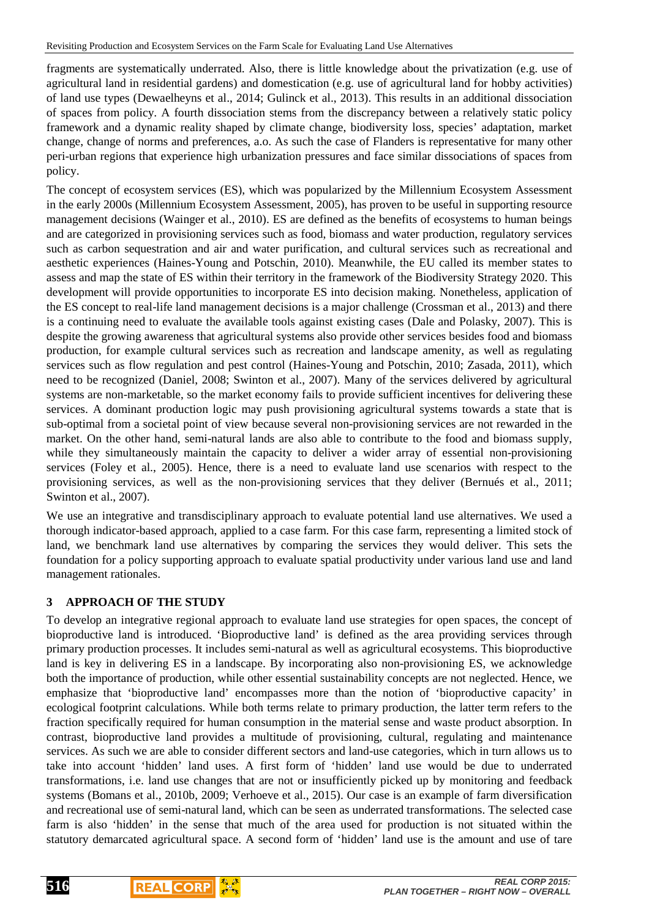fragments are systematically underrated. Also, there is little knowledge about the privatization (e.g. use of agricultural land in residential gardens) and domestication (e.g. use of agricultural land for hobby activities) of land use types (Dewaelheyns et al., 2014; Gulinck et al., 2013). This results in an additional dissociation of spaces from policy. A fourth dissociation stems from the discrepancy between a relatively static policy framework and a dynamic reality shaped by climate change, biodiversity loss, species' adaptation, market change, change of norms and preferences, a.o. As such the case of Flanders is representative for many other peri-urban regions that experience high urbanization pressures and face similar dissociations of spaces from policy.

The concept of ecosystem services (ES), which was popularized by the Millennium Ecosystem Assessment in the early 2000s (Millennium Ecosystem Assessment, 2005), has proven to be useful in supporting resource management decisions (Wainger et al., 2010). ES are defined as the benefits of ecosystems to human beings and are categorized in provisioning services such as food, biomass and water production, regulatory services such as carbon sequestration and air and water purification, and cultural services such as recreational and aesthetic experiences (Haines-Young and Potschin, 2010). Meanwhile, the EU called its member states to assess and map the state of ES within their territory in the framework of the Biodiversity Strategy 2020. This development will provide opportunities to incorporate ES into decision making. Nonetheless, application of the ES concept to real-life land management decisions is a major challenge (Crossman et al., 2013) and there is a continuing need to evaluate the available tools against existing cases (Dale and Polasky, 2007). This is despite the growing awareness that agricultural systems also provide other services besides food and biomass production, for example cultural services such as recreation and landscape amenity, as well as regulating services such as flow regulation and pest control (Haines-Young and Potschin, 2010; Zasada, 2011), which need to be recognized (Daniel, 2008; Swinton et al., 2007). Many of the services delivered by agricultural systems are non-marketable, so the market economy fails to provide sufficient incentives for delivering these services. A dominant production logic may push provisioning agricultural systems towards a state that is sub-optimal from a societal point of view because several non-provisioning services are not rewarded in the market. On the other hand, semi-natural lands are also able to contribute to the food and biomass supply, while they simultaneously maintain the capacity to deliver a wider array of essential non-provisioning services (Foley et al., 2005). Hence, there is a need to evaluate land use scenarios with respect to the provisioning services, as well as the non-provisioning services that they deliver (Bernués et al., 2011; Swinton et al., 2007).

We use an integrative and transdisciplinary approach to evaluate potential land use alternatives. We used a thorough indicator-based approach, applied to a case farm. For this case farm, representing a limited stock of land, we benchmark land use alternatives by comparing the services they would deliver. This sets the foundation for a policy supporting approach to evaluate spatial productivity under various land use and land management rationales.

## **3 APPROACH OF THE STUDY**

To develop an integrative regional approach to evaluate land use strategies for open spaces, the concept of bioproductive land is introduced. 'Bioproductive land' is defined as the area providing services through primary production processes. It includes semi-natural as well as agricultural ecosystems. This bioproductive land is key in delivering ES in a landscape. By incorporating also non-provisioning ES, we acknowledge both the importance of production, while other essential sustainability concepts are not neglected. Hence, we emphasize that 'bioproductive land' encompasses more than the notion of 'bioproductive capacity' in ecological footprint calculations. While both terms relate to primary production, the latter term refers to the fraction specifically required for human consumption in the material sense and waste product absorption. In contrast, bioproductive land provides a multitude of provisioning, cultural, regulating and maintenance services. As such we are able to consider different sectors and land-use categories, which in turn allows us to take into account 'hidden' land uses. A first form of 'hidden' land use would be due to underrated transformations, i.e. land use changes that are not or insufficiently picked up by monitoring and feedback systems (Bomans et al., 2010b, 2009; Verhoeve et al., 2015). Our case is an example of farm diversification and recreational use of semi-natural land, which can be seen as underrated transformations. The selected case farm is also 'hidden' in the sense that much of the area used for production is not situated within the statutory demarcated agricultural space. A second form of 'hidden' land use is the amount and use of tare

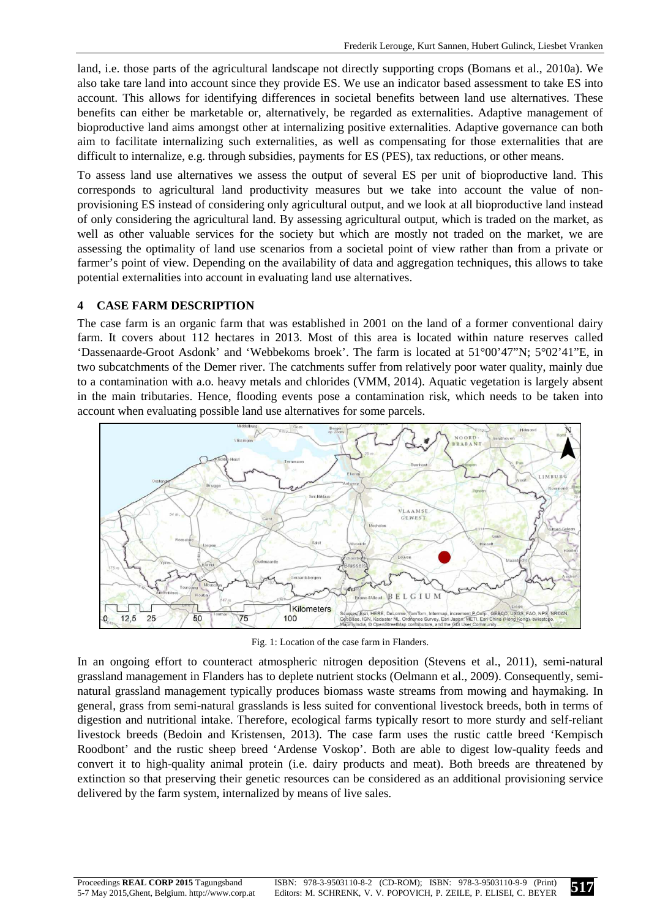land, i.e. those parts of the agricultural landscape not directly supporting crops (Bomans et al., 2010a). We also take tare land into account since they provide ES. We use an indicator based assessment to take ES into account. This allows for identifying differences in societal benefits between land use alternatives. These benefits can either be marketable or, alternatively, be regarded as externalities. Adaptive management of bioproductive land aims amongst other at internalizing positive externalities. Adaptive governance can both aim to facilitate internalizing such externalities, as well as compensating for those externalities that are difficult to internalize, e.g. through subsidies, payments for ES (PES), tax reductions, or other means.

To assess land use alternatives we assess the output of several ES per unit of bioproductive land. This corresponds to agricultural land productivity measures but we take into account the value of nonprovisioning ES instead of considering only agricultural output, and we look at all bioproductive land instead of only considering the agricultural land. By assessing agricultural output, which is traded on the market, as well as other valuable services for the society but which are mostly not traded on the market, we are assessing the optimality of land use scenarios from a societal point of view rather than from a private or farmer's point of view. Depending on the availability of data and aggregation techniques, this allows to take potential externalities into account in evaluating land use alternatives.

### **4 CASE FARM DESCRIPTION**

The case farm is an organic farm that was established in 2001 on the land of a former conventional dairy farm. It covers about 112 hectares in 2013. Most of this area is located within nature reserves called 'Dassenaarde-Groot Asdonk' and 'Webbekoms broek'. The farm is located at 51°00'47"N; 5°02'41"E, in two subcatchments of the Demer river. The catchments suffer from relatively poor water quality, mainly due to a contamination with a.o. heavy metals and chlorides (VMM, 2014). Aquatic vegetation is largely absent in the main tributaries. Hence, flooding events pose a contamination risk, which needs to be taken into account when evaluating possible land use alternatives for some parcels.



Fig. 1: Location of the case farm in Flanders.

In an ongoing effort to counteract atmospheric nitrogen deposition (Stevens et al., 2011), semi-natural grassland management in Flanders has to deplete nutrient stocks (Oelmann et al., 2009). Consequently, seminatural grassland management typically produces biomass waste streams from mowing and haymaking. In general, grass from semi-natural grasslands is less suited for conventional livestock breeds, both in terms of digestion and nutritional intake. Therefore, ecological farms typically resort to more sturdy and self-reliant livestock breeds (Bedoin and Kristensen, 2013). The case farm uses the rustic cattle breed 'Kempisch Roodbont' and the rustic sheep breed 'Ardense Voskop'. Both are able to digest low-quality feeds and convert it to high-quality animal protein (i.e. dairy products and meat). Both breeds are threatened by extinction so that preserving their genetic resources can be considered as an additional provisioning service delivered by the farm system, internalized by means of live sales.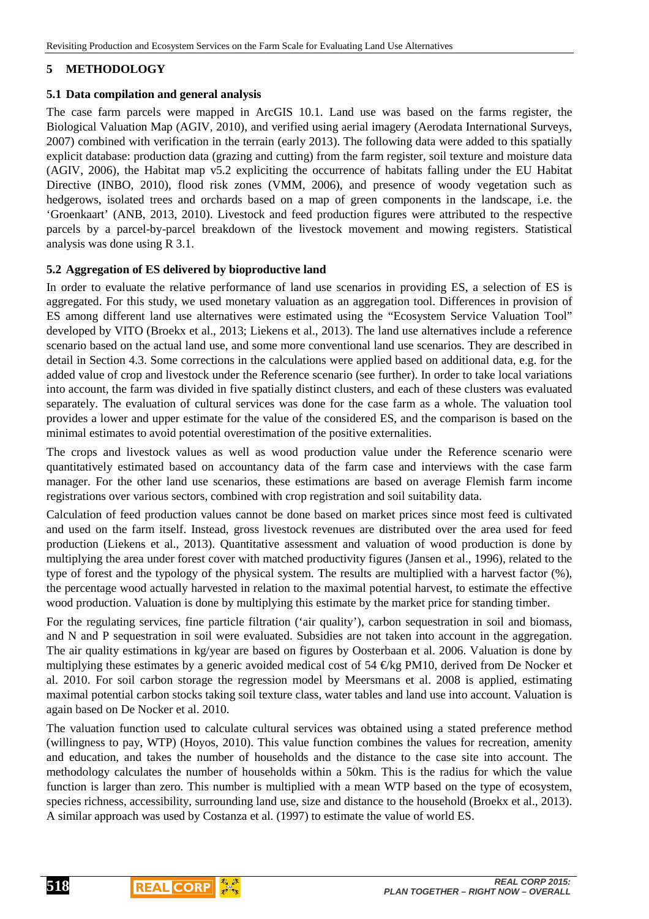# **5 METHODOLOGY**

### **5.1 Data compilation and general analysis**

The case farm parcels were mapped in ArcGIS 10.1. Land use was based on the farms register, the Biological Valuation Map (AGIV, 2010), and verified using aerial imagery (Aerodata International Surveys, 2007) combined with verification in the terrain (early 2013). The following data were added to this spatially explicit database: production data (grazing and cutting) from the farm register, soil texture and moisture data (AGIV, 2006), the Habitat map v5.2 expliciting the occurrence of habitats falling under the EU Habitat Directive (INBO, 2010), flood risk zones (VMM, 2006), and presence of woody vegetation such as hedgerows, isolated trees and orchards based on a map of green components in the landscape, i.e. the 'Groenkaart' (ANB, 2013, 2010). Livestock and feed production figures were attributed to the respective parcels by a parcel-by-parcel breakdown of the livestock movement and mowing registers. Statistical analysis was done using R 3.1.

## **5.2 Aggregation of ES delivered by bioproductive land**

In order to evaluate the relative performance of land use scenarios in providing ES, a selection of ES is aggregated. For this study, we used monetary valuation as an aggregation tool. Differences in provision of ES among different land use alternatives were estimated using the "Ecosystem Service Valuation Tool" developed by VITO (Broekx et al., 2013; Liekens et al., 2013). The land use alternatives include a reference scenario based on the actual land use, and some more conventional land use scenarios. They are described in detail in Section 4.3. Some corrections in the calculations were applied based on additional data, e.g. for the added value of crop and livestock under the Reference scenario (see further). In order to take local variations into account, the farm was divided in five spatially distinct clusters, and each of these clusters was evaluated separately. The evaluation of cultural services was done for the case farm as a whole. The valuation tool provides a lower and upper estimate for the value of the considered ES, and the comparison is based on the minimal estimates to avoid potential overestimation of the positive externalities.

The crops and livestock values as well as wood production value under the Reference scenario were quantitatively estimated based on accountancy data of the farm case and interviews with the case farm manager. For the other land use scenarios, these estimations are based on average Flemish farm income registrations over various sectors, combined with crop registration and soil suitability data.

Calculation of feed production values cannot be done based on market prices since most feed is cultivated and used on the farm itself. Instead, gross livestock revenues are distributed over the area used for feed production (Liekens et al., 2013). Quantitative assessment and valuation of wood production is done by multiplying the area under forest cover with matched productivity figures (Jansen et al., 1996), related to the type of forest and the typology of the physical system. The results are multiplied with a harvest factor (%), the percentage wood actually harvested in relation to the maximal potential harvest, to estimate the effective wood production. Valuation is done by multiplying this estimate by the market price for standing timber.

For the regulating services, fine particle filtration ('air quality'), carbon sequestration in soil and biomass, and N and P sequestration in soil were evaluated. Subsidies are not taken into account in the aggregation. The air quality estimations in kg/year are based on figures by Oosterbaan et al. 2006. Valuation is done by multiplying these estimates by a generic avoided medical cost of 54  $\epsilon$ /kg PM10, derived from De Nocker et al. 2010. For soil carbon storage the regression model by Meersmans et al. 2008 is applied, estimating maximal potential carbon stocks taking soil texture class, water tables and land use into account. Valuation is again based on De Nocker et al. 2010.

The valuation function used to calculate cultural services was obtained using a stated preference method (willingness to pay, WTP) (Hoyos, 2010). This value function combines the values for recreation, amenity and education, and takes the number of households and the distance to the case site into account. The methodology calculates the number of households within a 50km. This is the radius for which the value function is larger than zero. This number is multiplied with a mean WTP based on the type of ecosystem, species richness, accessibility, surrounding land use, size and distance to the household (Broekx et al., 2013). A similar approach was used by Costanza et al. (1997) to estimate the value of world ES.

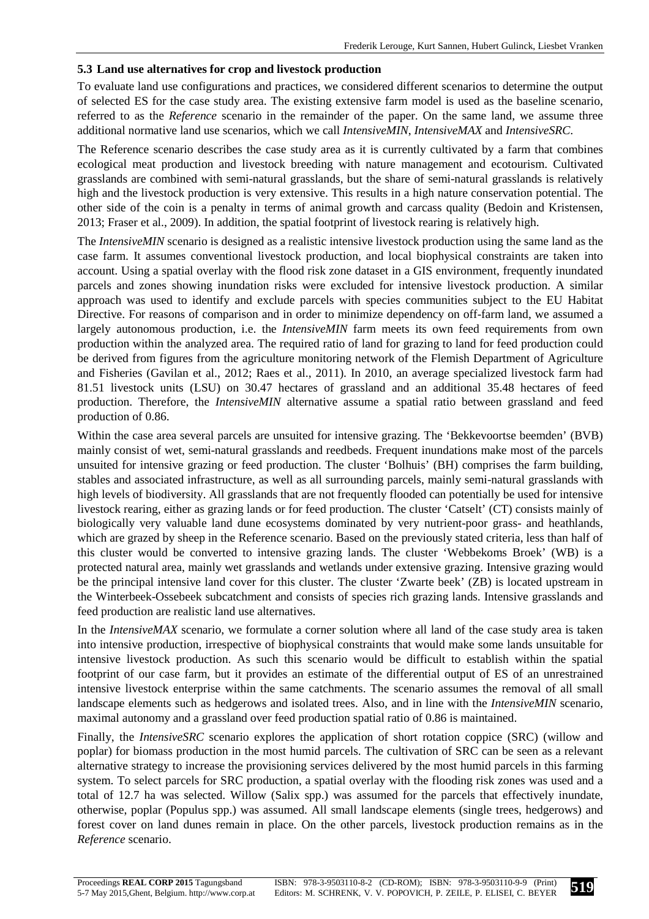### **5.3 Land use alternatives for crop and livestock production**

To evaluate land use configurations and practices, we considered different scenarios to determine the output of selected ES for the case study area. The existing extensive farm model is used as the baseline scenario, referred to as the *Reference* scenario in the remainder of the paper. On the same land, we assume three additional normative land use scenarios, which we call *IntensiveMIN*, *IntensiveMAX* and *IntensiveSRC*.

The Reference scenario describes the case study area as it is currently cultivated by a farm that combines ecological meat production and livestock breeding with nature management and ecotourism. Cultivated grasslands are combined with semi-natural grasslands, but the share of semi-natural grasslands is relatively high and the livestock production is very extensive. This results in a high nature conservation potential. The other side of the coin is a penalty in terms of animal growth and carcass quality (Bedoin and Kristensen, 2013; Fraser et al., 2009). In addition, the spatial footprint of livestock rearing is relatively high.

The *IntensiveMIN* scenario is designed as a realistic intensive livestock production using the same land as the case farm. It assumes conventional livestock production, and local biophysical constraints are taken into account. Using a spatial overlay with the flood risk zone dataset in a GIS environment, frequently inundated parcels and zones showing inundation risks were excluded for intensive livestock production. A similar approach was used to identify and exclude parcels with species communities subject to the EU Habitat Directive. For reasons of comparison and in order to minimize dependency on off-farm land, we assumed a largely autonomous production, i.e. the *IntensiveMIN* farm meets its own feed requirements from own production within the analyzed area. The required ratio of land for grazing to land for feed production could be derived from figures from the agriculture monitoring network of the Flemish Department of Agriculture and Fisheries (Gavilan et al., 2012; Raes et al., 2011). In 2010, an average specialized livestock farm had 81.51 livestock units (LSU) on 30.47 hectares of grassland and an additional 35.48 hectares of feed production. Therefore, the *IntensiveMIN* alternative assume a spatial ratio between grassland and feed production of 0.86.

Within the case area several parcels are unsuited for intensive grazing. The 'Bekkevoortse beemden' (BVB) mainly consist of wet, semi-natural grasslands and reedbeds. Frequent inundations make most of the parcels unsuited for intensive grazing or feed production. The cluster 'Bolhuis' (BH) comprises the farm building, stables and associated infrastructure, as well as all surrounding parcels, mainly semi-natural grasslands with high levels of biodiversity. All grasslands that are not frequently flooded can potentially be used for intensive livestock rearing, either as grazing lands or for feed production. The cluster 'Catselt' (CT) consists mainly of biologically very valuable land dune ecosystems dominated by very nutrient-poor grass- and heathlands, which are grazed by sheep in the Reference scenario. Based on the previously stated criteria, less than half of this cluster would be converted to intensive grazing lands. The cluster 'Webbekoms Broek' (WB) is a protected natural area, mainly wet grasslands and wetlands under extensive grazing. Intensive grazing would be the principal intensive land cover for this cluster. The cluster 'Zwarte beek' (ZB) is located upstream in the Winterbeek-Ossebeek subcatchment and consists of species rich grazing lands. Intensive grasslands and feed production are realistic land use alternatives.

In the *IntensiveMAX* scenario, we formulate a corner solution where all land of the case study area is taken into intensive production, irrespective of biophysical constraints that would make some lands unsuitable for intensive livestock production. As such this scenario would be difficult to establish within the spatial footprint of our case farm, but it provides an estimate of the differential output of ES of an unrestrained intensive livestock enterprise within the same catchments. The scenario assumes the removal of all small landscape elements such as hedgerows and isolated trees. Also, and in line with the *IntensiveMIN* scenario, maximal autonomy and a grassland over feed production spatial ratio of 0.86 is maintained.

Finally, the *IntensiveSRC* scenario explores the application of short rotation coppice (SRC) (willow and poplar) for biomass production in the most humid parcels. The cultivation of SRC can be seen as a relevant alternative strategy to increase the provisioning services delivered by the most humid parcels in this farming system. To select parcels for SRC production, a spatial overlay with the flooding risk zones was used and a total of 12.7 ha was selected. Willow (Salix spp.) was assumed for the parcels that effectively inundate, otherwise, poplar (Populus spp.) was assumed. All small landscape elements (single trees, hedgerows) and forest cover on land dunes remain in place. On the other parcels, livestock production remains as in the *Reference* scenario.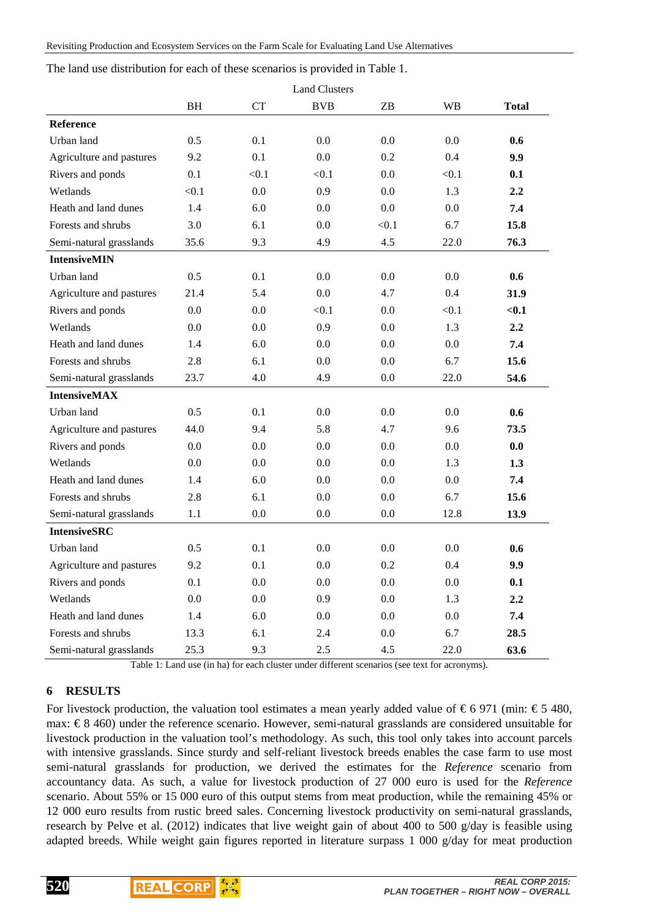The land use distribution for each of these scenarios is provided in Table 1.

|                          |           |           | <b>Land Clusters</b> |         |           |              |
|--------------------------|-----------|-----------|----------------------|---------|-----------|--------------|
|                          | <b>BH</b> | <b>CT</b> | <b>BVB</b>           | ZΒ      | <b>WB</b> | <b>Total</b> |
| <b>Reference</b>         |           |           |                      |         |           |              |
| Urban land               | 0.5       | 0.1       | 0.0                  | 0.0     | 0.0       | 0.6          |
| Agriculture and pastures | 9.2       | 0.1       | 0.0                  | 0.2     | 0.4       | 9.9          |
| Rivers and ponds         | 0.1       | < 0.1     | < 0.1                | 0.0     | < 0.1     | 0.1          |
| Wetlands                 | < 0.1     | 0.0       | 0.9                  | 0.0     | 1.3       | 2.2          |
| Heath and land dunes     | 1.4       | 6.0       | 0.0                  | 0.0     | 0.0       | 7.4          |
| Forests and shrubs       | 3.0       | 6.1       | 0.0                  | < 0.1   | 6.7       | 15.8         |
| Semi-natural grasslands  | 35.6      | 9.3       | 4.9                  | 4.5     | 22.0      | 76.3         |
| <b>IntensiveMIN</b>      |           |           |                      |         |           |              |
| Urban land               | 0.5       | 0.1       | 0.0                  | 0.0     | 0.0       | 0.6          |
| Agriculture and pastures | 21.4      | 5.4       | 0.0                  | 4.7     | 0.4       | 31.9         |
| Rivers and ponds         | 0.0       | 0.0       | < 0.1                | 0.0     | < 0.1     | $0.1$        |
| Wetlands                 | 0.0       | 0.0       | 0.9                  | 0.0     | 1.3       | 2.2          |
| Heath and land dunes     | 1.4       | 6.0       | 0.0                  | 0.0     | 0.0       | 7.4          |
| Forests and shrubs       | 2.8       | 6.1       | 0.0                  | 0.0     | 6.7       | 15.6         |
| Semi-natural grasslands  | 23.7      | 4.0       | 4.9                  | 0.0     | 22.0      | 54.6         |
| <b>IntensiveMAX</b>      |           |           |                      |         |           |              |
| Urban land               | 0.5       | 0.1       | 0.0                  | 0.0     | 0.0       | 0.6          |
| Agriculture and pastures | 44.0      | 9.4       | 5.8                  | 4.7     | 9.6       | 73.5         |
| Rivers and ponds         | 0.0       | 0.0       | 0.0                  | 0.0     | 0.0       | 0.0          |
| Wetlands                 | 0.0       | 0.0       | 0.0                  | 0.0     | 1.3       | 1.3          |
| Heath and land dunes     | 1.4       | 6.0       | 0.0                  | 0.0     | 0.0       | 7.4          |
| Forests and shrubs       | 2.8       | 6.1       | 0.0                  | 0.0     | 6.7       | 15.6         |
| Semi-natural grasslands  | 1.1       | 0.0       | 0.0                  | 0.0     | 12.8      | 13.9         |
| <b>IntensiveSRC</b>      |           |           |                      |         |           |              |
| Urban land               | 0.5       | 0.1       | 0.0                  | 0.0     | 0.0       | 0.6          |
| Agriculture and pastures | 9.2       | 0.1       | 0.0                  | 0.2     | 0.4       | 9.9          |
| Rivers and ponds         | 0.1       | 0.0       | $0.0\,$              | 0.0     | 0.0       | 0.1          |
| Wetlands                 | 0.0       | $0.0\,$   | 0.9                  | $0.0\,$ | 1.3       | $2.2\,$      |
| Heath and land dunes     | 1.4       | 6.0       | 0.0                  | 0.0     | 0.0       | 7.4          |
| Forests and shrubs       | 13.3      | 6.1       | 2.4                  | 0.0     | 6.7       | 28.5         |
| Semi-natural grasslands  | 25.3      | 9.3       | 2.5                  | 4.5     | 22.0      | 63.6         |

Table 1: Land use (in ha) for each cluster under different scenarios (see text for acronyms).

#### **6 RESULTS**

For livestock production, the valuation tool estimates a mean yearly added value of  $\epsilon$  6 971 (min:  $\epsilon$  5480, max:  $\epsilon$  8 460) under the reference scenario. However, semi-natural grasslands are considered unsuitable for livestock production in the valuation tool's methodology. As such, this tool only takes into account parcels with intensive grasslands. Since sturdy and self-reliant livestock breeds enables the case farm to use most semi-natural grasslands for production, we derived the estimates for the *Reference* scenario from accountancy data. As such, a value for livestock production of 27 000 euro is used for the *Reference* scenario. About 55% or 15 000 euro of this output stems from meat production, while the remaining 45% or 12 000 euro results from rustic breed sales. Concerning livestock productivity on semi-natural grasslands, research by Pelve et al. (2012) indicates that live weight gain of about 400 to 500 g/day is feasible using adapted breeds. While weight gain figures reported in literature surpass 1 000 g/day for meat production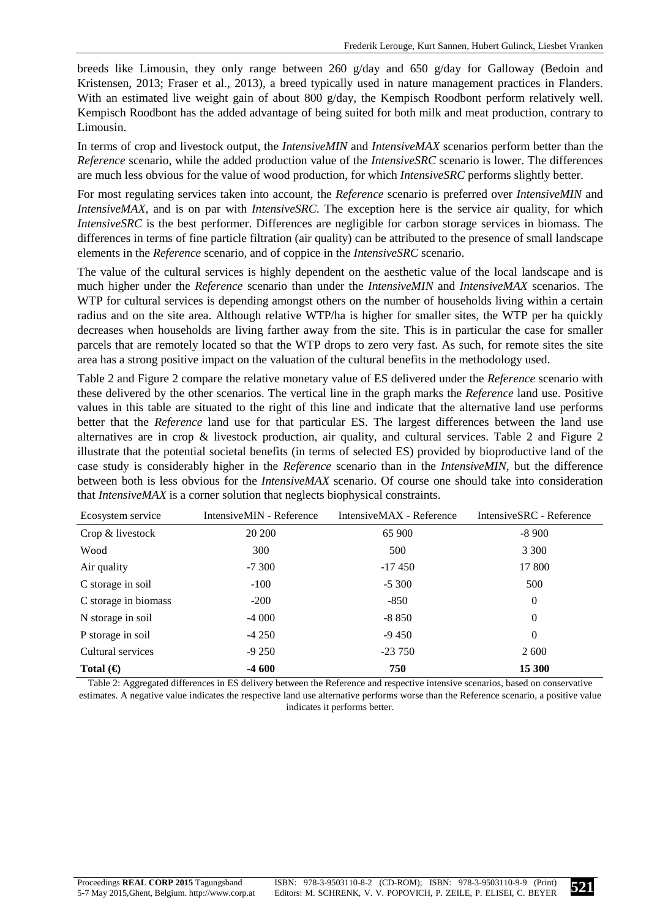breeds like Limousin, they only range between 260 g/day and 650 g/day for Galloway (Bedoin and Kristensen, 2013; Fraser et al., 2013), a breed typically used in nature management practices in Flanders. With an estimated live weight gain of about 800 g/day, the Kempisch Roodbont perform relatively well. Kempisch Roodbont has the added advantage of being suited for both milk and meat production, contrary to Limousin.

In terms of crop and livestock output, the *IntensiveMIN* and *IntensiveMAX* scenarios perform better than the *Reference* scenario, while the added production value of the *IntensiveSRC* scenario is lower. The differences are much less obvious for the value of wood production, for which *IntensiveSRC* performs slightly better.

For most regulating services taken into account, the *Reference* scenario is preferred over *IntensiveMIN* and *IntensiveMAX*, and is on par with *IntensiveSRC*. The exception here is the service air quality, for which *IntensiveSRC* is the best performer. Differences are negligible for carbon storage services in biomass. The differences in terms of fine particle filtration (air quality) can be attributed to the presence of small landscape elements in the *Reference* scenario, and of coppice in the *IntensiveSRC* scenario.

The value of the cultural services is highly dependent on the aesthetic value of the local landscape and is much higher under the *Reference* scenario than under the *IntensiveMIN* and *IntensiveMAX* scenarios. The WTP for cultural services is depending amongst others on the number of households living within a certain radius and on the site area. Although relative WTP/ha is higher for smaller sites, the WTP per ha quickly decreases when households are living farther away from the site. This is in particular the case for smaller parcels that are remotely located so that the WTP drops to zero very fast. As such, for remote sites the site area has a strong positive impact on the valuation of the cultural benefits in the methodology used.

Table 2 and Figure 2 compare the relative monetary value of ES delivered under the *Reference* scenario with these delivered by the other scenarios. The vertical line in the graph marks the *Reference* land use. Positive values in this table are situated to the right of this line and indicate that the alternative land use performs better that the *Reference* land use for that particular ES. The largest differences between the land use alternatives are in crop & livestock production, air quality, and cultural services. Table 2 and Figure 2 illustrate that the potential societal benefits (in terms of selected ES) provided by bioproductive land of the case study is considerably higher in the *Reference* scenario than in the *IntensiveMIN*, but the difference between both is less obvious for the *IntensiveMAX* scenario. Of course one should take into consideration that *IntensiveMAX* is a corner solution that neglects biophysical constraints.

| Ecosystem service    | IntensiveMIN - Reference | IntensiveMAX - Reference | IntensiveSRC - Reference |
|----------------------|--------------------------|--------------------------|--------------------------|
| Crop & livestock     | 20 200                   | 65 900                   | $-8900$                  |
| Wood                 | 300                      | 500                      | 3 3 0 0                  |
| Air quality          | $-7300$                  | $-17.450$                | 17 800                   |
| C storage in soil    | $-100$                   | $-5300$                  | 500                      |
| C storage in biomass | $-200$                   | $-850$                   | $\overline{0}$           |
| N storage in soil    | $-4000$                  | $-8850$                  | $\overline{0}$           |
| P storage in soil    | $-4250$                  | $-9450$                  | $\theta$                 |
| Cultural services    | $-9250$                  | $-23750$                 | 2 600                    |
| Total $(\epsilon)$   | $-4600$                  | 750                      | 15 300                   |

Table 2: Aggregated differences in ES delivery between the Reference and respective intensive scenarios, based on conservative estimates. A negative value indicates the respective land use alternative performs worse than the Reference scenario, a positive value indicates it performs better.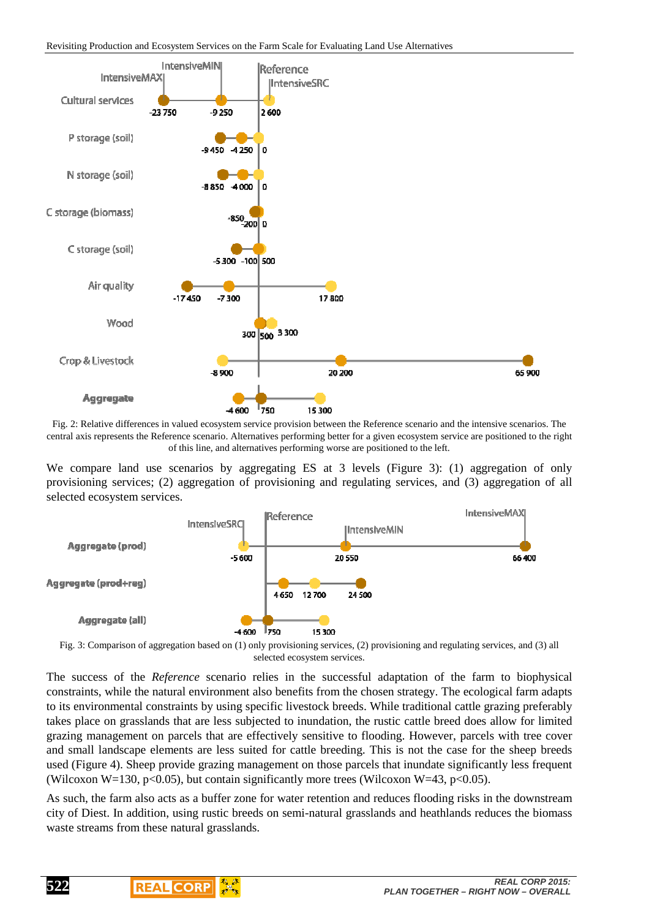

Fig. 2: Relative differences in valued ecosystem service provision between the Reference scenario and the intensive scenarios. The central axis represents the Reference scenario. Alternatives performing better for a given ecosystem service are positioned to the right of this line, and alternatives performing worse are positioned to the left.

We compare land use scenarios by aggregating ES at 3 levels (Figure 3): (1) aggregation of only provisioning services; (2) aggregation of provisioning and regulating services, and (3) aggregation of all selected ecosystem services.



Fig. 3: Comparison of aggregation based on (1) only provisioning services, (2) provisioning and regulating services, and (3) all selected ecosystem services.

The success of the *Reference* scenario relies in the successful adaptation of the farm to biophysical constraints, while the natural environment also benefits from the chosen strategy. The ecological farm adapts to its environmental constraints by using specific livestock breeds. While traditional cattle grazing preferably takes place on grasslands that are less subjected to inundation, the rustic cattle breed does allow for limited grazing management on parcels that are effectively sensitive to flooding. However, parcels with tree cover and small landscape elements are less suited for cattle breeding. This is not the case for the sheep breeds used (Figure 4). Sheep provide grazing management on those parcels that inundate significantly less frequent (Wilcoxon W=130, p<0.05), but contain significantly more trees (Wilcoxon W=43, p<0.05).

As such, the farm also acts as a buffer zone for water retention and reduces flooding risks in the downstream city of Diest. In addition, using rustic breeds on semi-natural grasslands and heathlands reduces the biomass waste streams from these natural grasslands.

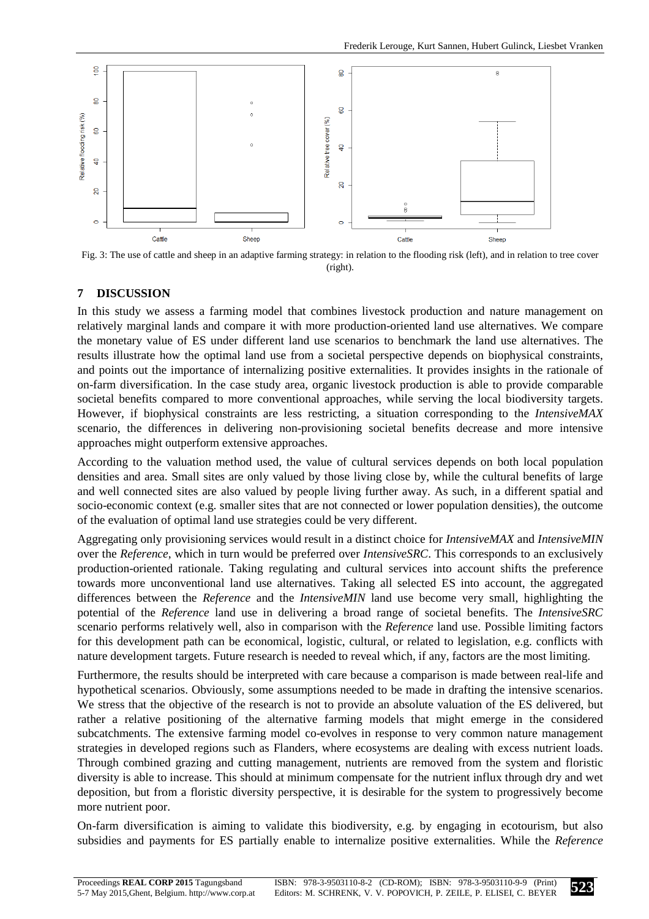

Fig. 3: The use of cattle and sheep in an adaptive farming strategy: in relation to the flooding risk (left), and in relation to tree cover (right).

## **7 DISCUSSION**

In this study we assess a farming model that combines livestock production and nature management on relatively marginal lands and compare it with more production-oriented land use alternatives. We compare the monetary value of ES under different land use scenarios to benchmark the land use alternatives. The results illustrate how the optimal land use from a societal perspective depends on biophysical constraints, and points out the importance of internalizing positive externalities. It provides insights in the rationale of on-farm diversification. In the case study area, organic livestock production is able to provide comparable societal benefits compared to more conventional approaches, while serving the local biodiversity targets. However, if biophysical constraints are less restricting, a situation corresponding to the *IntensiveMAX* scenario, the differences in delivering non-provisioning societal benefits decrease and more intensive approaches might outperform extensive approaches.

According to the valuation method used, the value of cultural services depends on both local population densities and area. Small sites are only valued by those living close by, while the cultural benefits of large and well connected sites are also valued by people living further away. As such, in a different spatial and socio-economic context (e.g. smaller sites that are not connected or lower population densities), the outcome of the evaluation of optimal land use strategies could be very different.

Aggregating only provisioning services would result in a distinct choice for *IntensiveMAX* and *IntensiveMIN* over the *Reference*, which in turn would be preferred over *IntensiveSRC*. This corresponds to an exclusively production-oriented rationale. Taking regulating and cultural services into account shifts the preference towards more unconventional land use alternatives. Taking all selected ES into account, the aggregated differences between the *Reference* and the *IntensiveMIN* land use become very small, highlighting the potential of the *Reference* land use in delivering a broad range of societal benefits. The *IntensiveSRC* scenario performs relatively well, also in comparison with the *Reference* land use. Possible limiting factors for this development path can be economical, logistic, cultural, or related to legislation, e.g. conflicts with nature development targets. Future research is needed to reveal which, if any, factors are the most limiting.

Furthermore, the results should be interpreted with care because a comparison is made between real-life and hypothetical scenarios. Obviously, some assumptions needed to be made in drafting the intensive scenarios. We stress that the objective of the research is not to provide an absolute valuation of the ES delivered, but rather a relative positioning of the alternative farming models that might emerge in the considered subcatchments. The extensive farming model co-evolves in response to very common nature management strategies in developed regions such as Flanders, where ecosystems are dealing with excess nutrient loads. Through combined grazing and cutting management, nutrients are removed from the system and floristic diversity is able to increase. This should at minimum compensate for the nutrient influx through dry and wet deposition, but from a floristic diversity perspective, it is desirable for the system to progressively become more nutrient poor.

On-farm diversification is aiming to validate this biodiversity, e.g. by engaging in ecotourism, but also subsidies and payments for ES partially enable to internalize positive externalities. While the *Reference*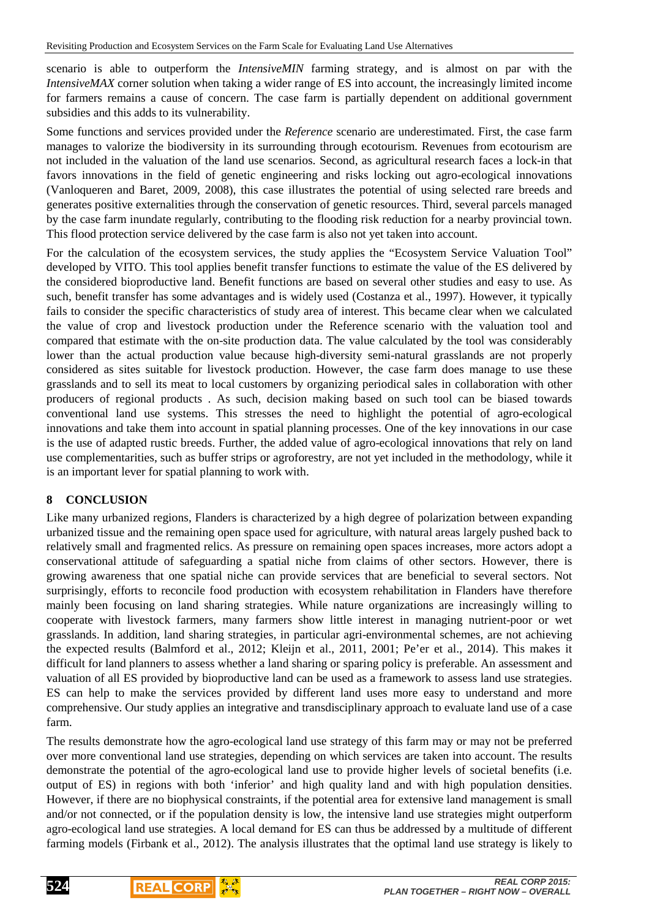scenario is able to outperform the *IntensiveMIN* farming strategy, and is almost on par with the *IntensiveMAX* corner solution when taking a wider range of ES into account, the increasingly limited income for farmers remains a cause of concern. The case farm is partially dependent on additional government subsidies and this adds to its vulnerability.

Some functions and services provided under the *Reference* scenario are underestimated. First, the case farm manages to valorize the biodiversity in its surrounding through ecotourism. Revenues from ecotourism are not included in the valuation of the land use scenarios. Second, as agricultural research faces a lock-in that favors innovations in the field of genetic engineering and risks locking out agro-ecological innovations (Vanloqueren and Baret, 2009, 2008), this case illustrates the potential of using selected rare breeds and generates positive externalities through the conservation of genetic resources. Third, several parcels managed by the case farm inundate regularly, contributing to the flooding risk reduction for a nearby provincial town. This flood protection service delivered by the case farm is also not yet taken into account.

For the calculation of the ecosystem services, the study applies the "Ecosystem Service Valuation Tool" developed by VITO. This tool applies benefit transfer functions to estimate the value of the ES delivered by the considered bioproductive land. Benefit functions are based on several other studies and easy to use. As such, benefit transfer has some advantages and is widely used (Costanza et al., 1997). However, it typically fails to consider the specific characteristics of study area of interest. This became clear when we calculated the value of crop and livestock production under the Reference scenario with the valuation tool and compared that estimate with the on-site production data. The value calculated by the tool was considerably lower than the actual production value because high-diversity semi-natural grasslands are not properly considered as sites suitable for livestock production. However, the case farm does manage to use these grasslands and to sell its meat to local customers by organizing periodical sales in collaboration with other producers of regional products . As such, decision making based on such tool can be biased towards conventional land use systems. This stresses the need to highlight the potential of agro-ecological innovations and take them into account in spatial planning processes. One of the key innovations in our case is the use of adapted rustic breeds. Further, the added value of agro-ecological innovations that rely on land use complementarities, such as buffer strips or agroforestry, are not yet included in the methodology, while it is an important lever for spatial planning to work with.

## **8 CONCLUSION**

Like many urbanized regions, Flanders is characterized by a high degree of polarization between expanding urbanized tissue and the remaining open space used for agriculture, with natural areas largely pushed back to relatively small and fragmented relics. As pressure on remaining open spaces increases, more actors adopt a conservational attitude of safeguarding a spatial niche from claims of other sectors. However, there is growing awareness that one spatial niche can provide services that are beneficial to several sectors. Not surprisingly, efforts to reconcile food production with ecosystem rehabilitation in Flanders have therefore mainly been focusing on land sharing strategies. While nature organizations are increasingly willing to cooperate with livestock farmers, many farmers show little interest in managing nutrient-poor or wet grasslands. In addition, land sharing strategies, in particular agri-environmental schemes, are not achieving the expected results (Balmford et al., 2012; Kleijn et al., 2011, 2001; Pe'er et al., 2014). This makes it difficult for land planners to assess whether a land sharing or sparing policy is preferable. An assessment and valuation of all ES provided by bioproductive land can be used as a framework to assess land use strategies. ES can help to make the services provided by different land uses more easy to understand and more comprehensive. Our study applies an integrative and transdisciplinary approach to evaluate land use of a case farm.

The results demonstrate how the agro-ecological land use strategy of this farm may or may not be preferred over more conventional land use strategies, depending on which services are taken into account. The results demonstrate the potential of the agro-ecological land use to provide higher levels of societal benefits (i.e. output of ES) in regions with both 'inferior' and high quality land and with high population densities. However, if there are no biophysical constraints, if the potential area for extensive land management is small and/or not connected, or if the population density is low, the intensive land use strategies might outperform agro-ecological land use strategies. A local demand for ES can thus be addressed by a multitude of different farming models (Firbank et al., 2012). The analysis illustrates that the optimal land use strategy is likely to

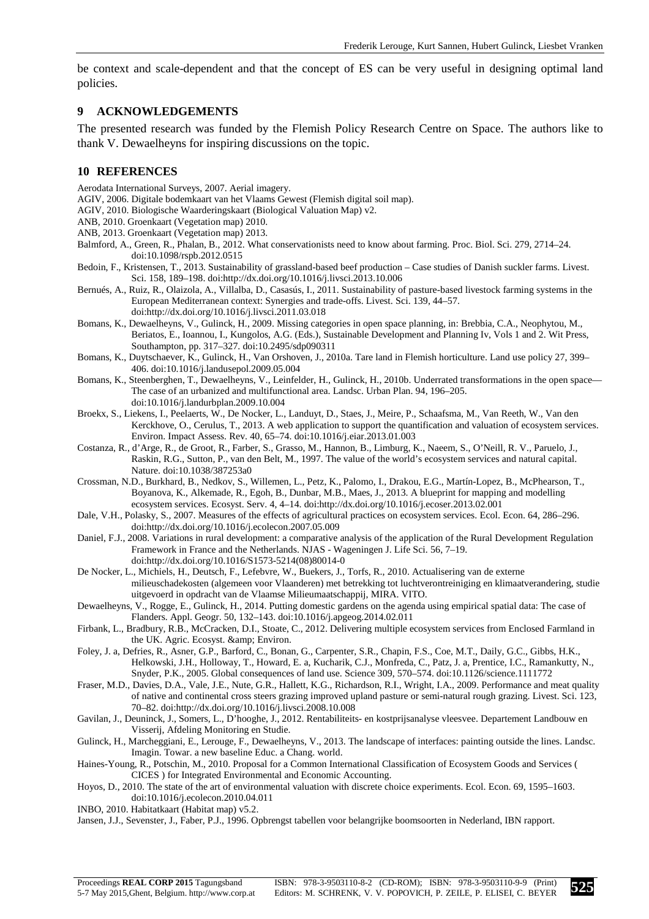be context and scale-dependent and that the concept of ES can be very useful in designing optimal land policies.

#### **9 ACKNOWLEDGEMENTS**

The presented research was funded by the Flemish Policy Research Centre on Space. The authors like to thank V. Dewaelheyns for inspiring discussions on the topic.

#### **10 REFERENCES**

Aerodata International Surveys, 2007. Aerial imagery.

- AGIV, 2006. Digitale bodemkaart van het Vlaams Gewest (Flemish digital soil map).
- AGIV, 2010. Biologische Waarderingskaart (Biological Valuation Map) v2.
- ANB, 2010. Groenkaart (Vegetation map) 2010.
- ANB, 2013. Groenkaart (Vegetation map) 2013.
- Balmford, A., Green, R., Phalan, B., 2012. What conservationists need to know about farming. Proc. Biol. Sci. 279, 2714–24. doi:10.1098/rspb.2012.0515
- Bedoin, F., Kristensen, T., 2013. Sustainability of grassland-based beef production Case studies of Danish suckler farms. Livest. Sci. 158, 189–198. doi:http://dx.doi.org/10.1016/j.livsci.2013.10.006
- Bernués, A., Ruiz, R., Olaizola, A., Villalba, D., Casasús, I., 2011. Sustainability of pasture-based livestock farming systems in the European Mediterranean context: Synergies and trade-offs. Livest. Sci. 139, 44–57. doi:http://dx.doi.org/10.1016/j.livsci.2011.03.018
- Bomans, K., Dewaelheyns, V., Gulinck, H., 2009. Missing categories in open space planning, in: Brebbia, C.A., Neophytou, M., Beriatos, E., Ioannou, I., Kungolos, A.G. (Eds.), Sustainable Development and Planning Iv, Vols 1 and 2. Wit Press, Southampton, pp. 317–327. doi:10.2495/sdp090311
- Bomans, K., Duytschaever, K., Gulinck, H., Van Orshoven, J., 2010a. Tare land in Flemish horticulture. Land use policy 27, 399– 406. doi:10.1016/j.landusepol.2009.05.004
- Bomans, K., Steenberghen, T., Dewaelheyns, V., Leinfelder, H., Gulinck, H., 2010b. Underrated transformations in the open space— The case of an urbanized and multifunctional area. Landsc. Urban Plan. 94, 196–205. doi:10.1016/j.landurbplan.2009.10.004
- Broekx, S., Liekens, I., Peelaerts, W., De Nocker, L., Landuyt, D., Staes, J., Meire, P., Schaafsma, M., Van Reeth, W., Van den Kerckhove, O., Cerulus, T., 2013. A web application to support the quantification and valuation of ecosystem services. Environ. Impact Assess. Rev. 40, 65–74. doi:10.1016/j.eiar.2013.01.003
- Costanza, R., d'Arge, R., de Groot, R., Farber, S., Grasso, M., Hannon, B., Limburg, K., Naeem, S., O'Neill, R. V., Paruelo, J., Raskin, R.G., Sutton, P., van den Belt, M., 1997. The value of the world's ecosystem services and natural capital. Nature. doi:10.1038/387253a0
- Crossman, N.D., Burkhard, B., Nedkov, S., Willemen, L., Petz, K., Palomo, I., Drakou, E.G., Martín-Lopez, B., McPhearson, T., Boyanova, K., Alkemade, R., Egoh, B., Dunbar, M.B., Maes, J., 2013. A blueprint for mapping and modelling ecosystem services. Ecosyst. Serv. 4, 4–14. doi:http://dx.doi.org/10.1016/j.ecoser.2013.02.001
- Dale, V.H., Polasky, S., 2007. Measures of the effects of agricultural practices on ecosystem services. Ecol. Econ. 64, 286–296. doi:http://dx.doi.org/10.1016/j.ecolecon.2007.05.009
- Daniel, F.J., 2008. Variations in rural development: a comparative analysis of the application of the Rural Development Regulation Framework in France and the Netherlands. NJAS - Wageningen J. Life Sci. 56, 7–19. doi:http://dx.doi.org/10.1016/S1573-5214(08)80014-0
- De Nocker, L., Michiels, H., Deutsch, F., Lefebvre, W., Buekers, J., Torfs, R., 2010. Actualisering van de externe milieuschadekosten (algemeen voor Vlaanderen) met betrekking tot luchtverontreiniging en klimaatverandering, studie uitgevoerd in opdracht van de Vlaamse Milieumaatschappij, MIRA. VITO.
- Dewaelheyns, V., Rogge, E., Gulinck, H., 2014. Putting domestic gardens on the agenda using empirical spatial data: The case of Flanders. Appl. Geogr. 50, 132–143. doi:10.1016/j.apgeog.2014.02.011
- Firbank, L., Bradbury, R.B., McCracken, D.I., Stoate, C., 2012. Delivering multiple ecosystem services from Enclosed Farmland in the UK. Agric. Ecosyst. & amp; Environ.
- Foley, J. a, Defries, R., Asner, G.P., Barford, C., Bonan, G., Carpenter, S.R., Chapin, F.S., Coe, M.T., Daily, G.C., Gibbs, H.K., Helkowski, J.H., Holloway, T., Howard, E. a, Kucharik, C.J., Monfreda, C., Patz, J. a, Prentice, I.C., Ramankutty, N., Snyder, P.K., 2005. Global consequences of land use. Science 309, 570–574. doi:10.1126/science.1111772
- Fraser, M.D., Davies, D.A., Vale, J.E., Nute, G.R., Hallett, K.G., Richardson, R.I., Wright, I.A., 2009. Performance and meat quality of native and continental cross steers grazing improved upland pasture or semi-natural rough grazing. Livest. Sci. 123, 70–82. doi:http://dx.doi.org/10.1016/j.livsci.2008.10.008
- Gavilan, J., Deuninck, J., Somers, L., D'hooghe, J., 2012. Rentabiliteits- en kostprijsanalyse vleesvee. Departement Landbouw en Visserij, Afdeling Monitoring en Studie.
- Gulinck, H., Marcheggiani, E., Lerouge, F., Dewaelheyns, V., 2013. The landscape of interfaces: painting outside the lines. Landsc. Imagin. Towar. a new baseline Educ. a Chang. world.
- Haines-Young, R., Potschin, M., 2010. Proposal for a Common International Classification of Ecosystem Goods and Services ( CICES ) for Integrated Environmental and Economic Accounting.
- Hoyos, D., 2010. The state of the art of environmental valuation with discrete choice experiments. Ecol. Econ. 69, 1595–1603. doi:10.1016/j.ecolecon.2010.04.011
- INBO, 2010. Habitatkaart (Habitat map) v5.2.

Jansen, J.J., Sevenster, J., Faber, P.J., 1996. Opbrengst tabellen voor belangrijke boomsoorten in Nederland, IBN rapport.